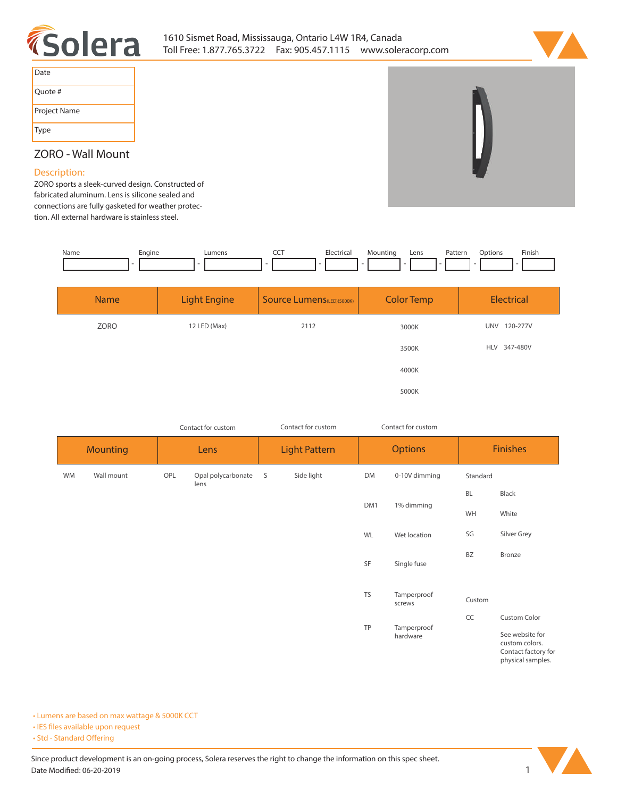



| Date         |
|--------------|
| Quote #      |
| Project Name |
| Type         |

## **ZORO - Wall Mount**

### **Description:**

**ZORO sports a sleek-curved design. Constructed of fabricated aluminum. Lens is silicone sealed and connections are fully gasketed for weather protection. All external hardware is stainless steel.** 

| Name | Engine | _umen | --- | Electrical | Mountinc | Lens | Pattern | Dotions | Finish |
|------|--------|-------|-----|------------|----------|------|---------|---------|--------|
|      |        |       |     |            |          |      |         |         |        |

| <b>Name</b> | <b>Light Engine</b> | Source Lumens(LED)(5000K) | <b>Color Temp</b> | Electrical             |
|-------------|---------------------|---------------------------|-------------------|------------------------|
| ZORO        | 12 LED (Max)        | 2112                      | 3000K             | 120-277V<br><b>UNV</b> |
|             |                     |                           | 3500K             | HLV 347-480V           |
|             |                     |                           | 4000K             |                        |
|             |                     |                           | 5000K             |                        |

|                 |            |      | Contact for custom         | Contact for custom   |            |                | Contact for custom      |                 |                                                          |
|-----------------|------------|------|----------------------------|----------------------|------------|----------------|-------------------------|-----------------|----------------------------------------------------------|
| <b>Mounting</b> |            | Lens |                            | <b>Light Pattern</b> |            | <b>Options</b> |                         | <b>Finishes</b> |                                                          |
| <b>WM</b>       | Wall mount | OPL  | Opal polycarbonate<br>lens | S                    | Side light | <b>DM</b>      | 0-10V dimming           | Standard        |                                                          |
|                 |            |      |                            |                      |            |                |                         | BL              | Black                                                    |
|                 |            |      |                            |                      |            | DM1            | 1% dimming              | WH              | White                                                    |
|                 |            |      |                            |                      |            | WL             | Wet location            | SG              | Silver Grey                                              |
|                 |            |      |                            |                      |            | SF             | Single fuse             | BZ              | Bronze                                                   |
|                 |            |      |                            |                      |            | <b>TS</b>      | Tamperproof<br>screws   | Custom          |                                                          |
|                 |            |      |                            |                      |            |                |                         | CC              | <b>Custom Color</b>                                      |
|                 |            |      |                            |                      |            | TP             | Tamperproof<br>hardware |                 | See website for<br>custom colors.<br>Contact factory for |

**• Lumens are based on max wattage & 5000K CCT**

**• IES files available upon request** 

• Std - Standard Offering



**physical samples.**